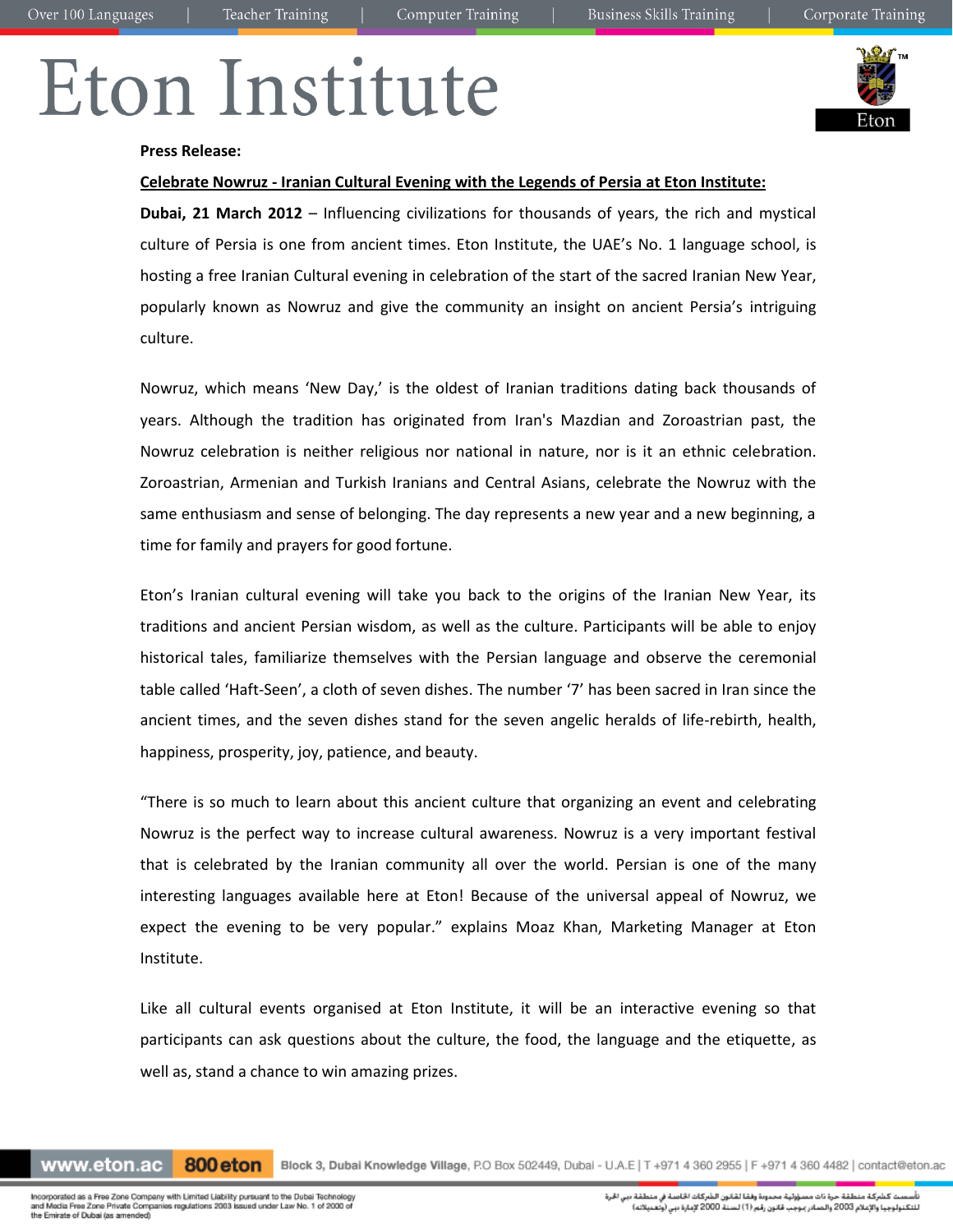# Eton Institute



## **Press Release:**

# **Celebrate Nowruz - Iranian Cultural Evening with the Legends of Persia at Eton Institute:**

**Dubai, 21 March 2012** – Influencing civilizations for thousands of years, the rich and mystical culture of Persia is one from ancient times. Eton Institute, the UAE's No. 1 language school, is hosting a free Iranian Cultural evening in celebration of the start of the sacred Iranian New Year, popularly known as Nowruz and give the community an insight on ancient Persia's intriguing culture.

Nowruz, which means 'New Day,' is the oldest of Iranian traditions dating back thousands of years. Although the tradition has originated from Iran's Mazdian and Zoroastrian past, the Nowruz celebration is neither religious nor national in nature, nor is it an ethnic celebration. Zoroastrian, Armenian and Turkish Iranians and Central Asians, celebrate the Nowruz with the same enthusiasm and sense of belonging. The day represents a new year and a new beginning, a time for family and prayers for good fortune.

Eton's Iranian cultural evening will take you back to the origins of the Iranian New Year, its traditions and ancient Persian wisdom, as well as the culture. Participants will be able to enjoy historical tales, familiarize themselves with the Persian language and observe the ceremonial table called 'Haft-Seen', a cloth of seven dishes. The number '7' has been sacred in Iran since the ancient times, and the seven dishes stand for the seven angelic heralds of life-rebirth, health, happiness, prosperity, joy, patience, and beauty.

"There is so much to learn about this ancient culture that organizing an event and celebrating Nowruz is the perfect way to increase cultural awareness. Nowruz is a very important festival that is celebrated by the Iranian community all over the world. Persian is one of the many interesting languages available here at Eton! Because of the universal appeal of Nowruz, we expect the evening to be very popular." explains Moaz Khan, Marketing Manager at Eton Institute.

Like all cultural events organised at Eton Institute, it will be an interactive evening so that participants can ask questions about the culture, the food, the language and the etiquette, as well as, stand a chance to win amazing prizes.

www.eton.ac